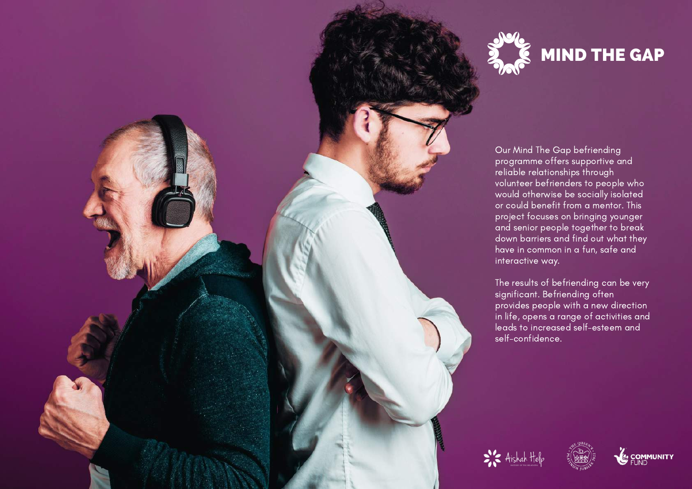

Our Mind The Gap befriending programme offers supportive and reliable relationships through volunteer befrienders to people who would otherwise be socially isolated or could benefit from a mentor. This project focuses on bringing younger and senior people together to break down barriers and find out what they have in common in a fun, safe and interactive way.

The results of befriending can be very significant. Befriending often provides people with a new direction in life, opens a range of activities and leads to increased self-esteem and self-confidence.



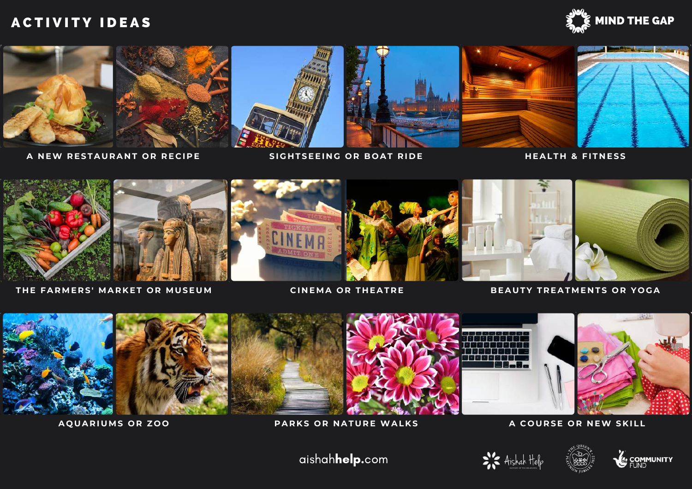## A C T I V I T Y I D E A S MIND THE GAP





A NEW RESTAURANT OR RECIPE SIGHTSEEING OR BOAT RIDE HEALTH & FITNESS



THE FARMERS' MARKET OR MUSEUM CINEMA OR THEATRE BEAUTY TREATMENTS OR YOGA



#### AQUARIUMS OR ZOO PARKS OR NATURE WALKS AND A COURSE OR NEW SKILL

aishahhelp.com